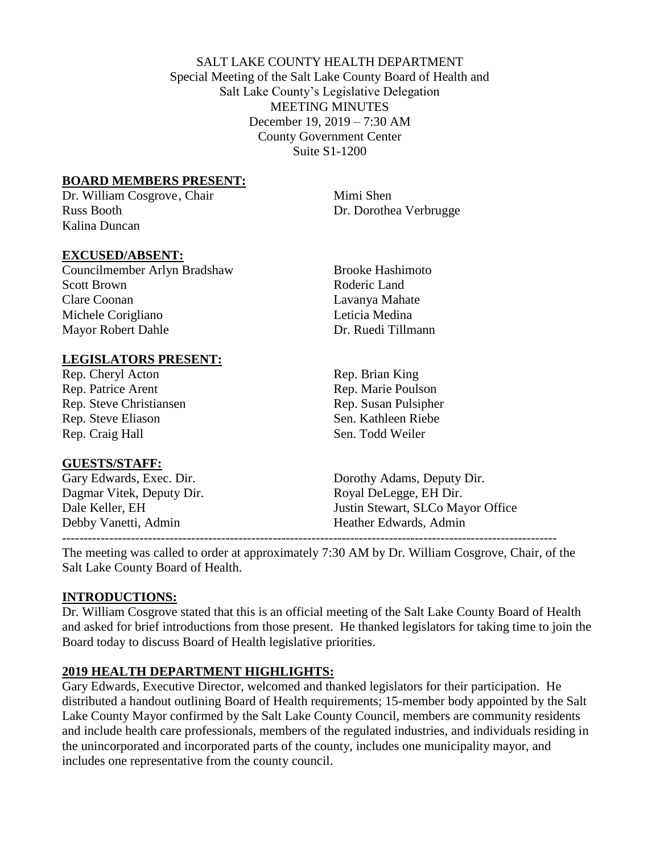SALT LAKE COUNTY HEALTH DEPARTMENT Special Meeting of the Salt Lake County Board of Health and Salt Lake County's Legislative Delegation MEETING MINUTES December 19, 2019 – 7:30 AM County Government Center Suite S1-1200

### **BOARD MEMBERS PRESENT:**

Dr. William Cosgrove, Chair Mimi Shen Russ Booth Dr. Dorothea Verbrugge Kalina Duncan

#### **EXCUSED/ABSENT:**

Councilmember Arlyn Bradshaw Brooke Hashimoto Scott Brown Roderic Land Clare Coonan Lavanya Mahate Michele Corigliano Leticia Medina Mayor Robert Dahle Dr. Ruedi Tillmann

### **LEGISLATORS PRESENT:**

Rep. Cheryl Acton Rep. Brian King Rep. Patrice Arent Rep. Marie Poulson Rep. Steve Christiansen Rep. Susan Pulsipher Rep. Steve Eliason Sen. Kathleen Riebe Rep. Craig Hall Sen. Todd Weiler

### **GUESTS/STAFF:**

Dagmar Vitek, Deputy Dir. Royal DeLegge, EH Dir. Debby Vanetti, Admin Heather Edwards, Admin

Gary Edwards, Exec. Dir. Dorothy Adams, Deputy Dir. Dale Keller, EH Justin Stewart, SLCo Mayor Office

------------------------------------------------------------------------------------------------------------------- The meeting was called to order at approximately 7:30 AM by Dr. William Cosgrove, Chair, of the Salt Lake County Board of Health.

### **INTRODUCTIONS:**

Dr. William Cosgrove stated that this is an official meeting of the Salt Lake County Board of Health and asked for brief introductions from those present. He thanked legislators for taking time to join the Board today to discuss Board of Health legislative priorities.

### **2019 HEALTH DEPARTMENT HIGHLIGHTS:**

Gary Edwards, Executive Director, welcomed and thanked legislators for their participation. He distributed a handout outlining Board of Health requirements; 15-member body appointed by the Salt Lake County Mayor confirmed by the Salt Lake County Council, members are community residents and include health care professionals, members of the regulated industries, and individuals residing in the unincorporated and incorporated parts of the county, includes one municipality mayor, and includes one representative from the county council.